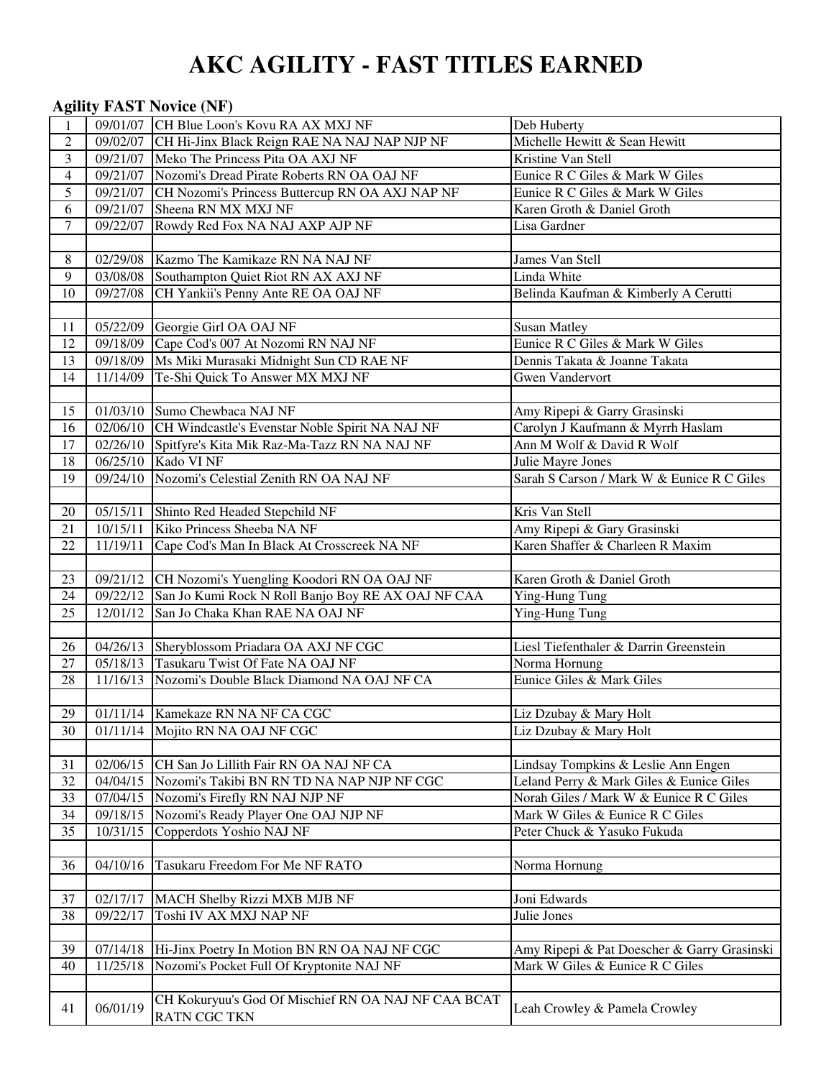# **AKC AGILITY - FAST TITLES EARNED**

# **Agility FAST Novice (NF)** 09/01/07 CH Blue Loon's Kovu RA AX MXJ NF Deb Huberty 2 09/02/07 CH Hi-Jinx Black Reign RAE NA NAJ NAP NJP NF Michelle Hewitt & Sean Hewitt 3 09/21/07 Meko The Princess Pita OA AXJ NF Kristine Van Stell 4 09/21/07 Nozomi's Dread Pirate Roberts RN OA OAJ NF Eunice R C Giles & Mark W Giles 5 09/21/07 CH Nozomi's Princess Buttercup RN OA AXJ NAP NF Eunice R C Giles & Mark W Giles 6 09/21/07 Sheena RN MX MXJ NF Karen Groth & Daniel Groth 7 09/22/07 Rowdy Red Fox NA NAJ AXP AJP NF Lisa Gardner 8 02/29/08 Kazmo The Kamikaze RN NA NAJ NF James Van Stell 9 03/08/08 Southampton Quiet Riot RN AX AXJ NF Linda White 10 09/27/08 CH Yankii's Penny Ante RE OA OAJ NF Belinda Kaufman & Kimberly A Cerutti 11 05/22/09 Georgie Girl OA OAJ NF Susan Matley 12 09/18/09 Cape Cod's 007 At Nozomi RN NAJ NF Eunice R C Giles & Mark W Giles 13 09/18/09 Ms Miki Murasaki Midnight Sun CD RAE NF Dennis Takata & Joanne Takata 14 11/14/09 Te-Shi Quick To Answer MX MXJ NF Gwen Vandervort 15 01/03/10 Sumo Chewbaca NAJ NF Amy Ripepi & Garry Grasinski 16 02/06/10 CH Windcastle's Evenstar Noble Spirit NA NAJ NF Carolyn J Kaufmann & Myrrh Haslam 17 02/26/10 Spitfyre's Kita Mik Raz-Ma-Tazz RN NA NAJ NF Ann M Wolf & David R Wolf 18 | 06/25/10 | Kado VI NF | Julie Mayre Jones 19 09/24/10 Nozomi's Celestial Zenith RN OA NAJ NF Sarah S Carson / Mark W & Eunice R C Giles 20 05/15/11 Shinto Red Headed Stepchild NF Kris Van Stell 21 | 10/15/11 | Kiko Princess Sheeba NA NF **Amy Ripepi & Gary Grasinski** 22 11/19/11 Cape Cod's Man In Black At Crosscreek NA NF Karen Shaffer & Charleen R Maxim 23 09/21/12 CH Nozomi's Yuengling Koodori RN OA OAJ NF Karen Groth & Daniel Groth 24 09/22/12 San Jo Kumi Rock N Roll Banjo Boy RE AX OAJ NF CAA Ying-Hung Tung 25 12/01/12 San Jo Chaka Khan RAE NA OAJ NF Ying-Hung Tung 26 04/26/13 Sheryblossom Priadara OA AXJ NF CGC Liesl Tiefenthaler & Darrin Greenstein 27 05/18/13 Tasukaru Twist Of Fate NA OAJ NF Norma Hornung 28 11/16/13 Nozomi's Double Black Diamond NA OAJ NF CA Eunice Giles & Mark Giles 29 01/11/14 Kamekaze RN NA NF CA CGC Liz Dzubay & Mary Holt 30 01/11/14 Mojito RN NA OAJ NF CGC Liz Dzubay & Mary Holt 31 02/06/15 CH San Jo Lillith Fair RN OA NAJ NF CA Lindsay Tompkins & Leslie Ann Engen 32 04/04/15 Nozomi's Takibi BN RN TD NA NAP NJP NF CGC Leland Perry & Mark Giles & Eunice Giles 33 | 07/04/15 | Nozomi's Firefly RN NAJ NJP NF Norah Giles / Mark W & Eunice R C Giles 34 09/18/15 Nozomi's Ready Player One OAJ NJP NF Mark W Giles & Eunice R C Giles 35 10/31/15 Copperdots Yoshio NAJ NF Peter Chuck & Yasuko Fukuda 36 04/10/16 Tasukaru Freedom For Me NF RATO Norma Hornung 37 02/17/17 MACH Shelby Rizzi MXB MJB NF Joni Edwards 38 09/22/17 Toshi IV AX MXJ NAP NF Julie Jones 39 07/14/18 Hi-Jinx Poetry In Motion BN RN OA NAJ NF CGC Amy Ripepi & Pat Doescher & Garry Grasinski 40 11/25/18 Nozomi's Pocket Full Of Kryptonite NAJ NF Mark W Giles & Eunice R C Giles 41 06/01/19 CH Kokuryuu's God Of Mischief RN OA NAJ NF CAA BCAT<br>RATN CGC TKN Leah Crowley & Pamela Crowley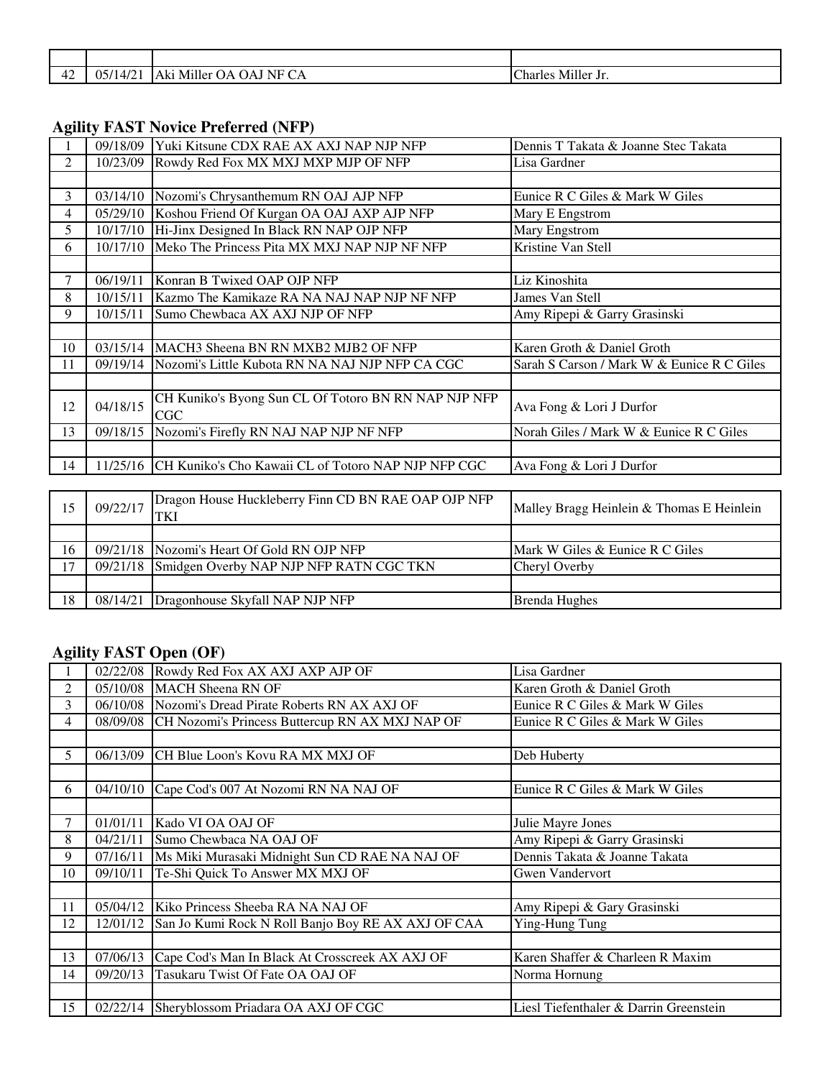| ⊶<br>. . | $\sim$<br>∩⊄<br>$\Lambda$<br>JJI.<br>$\cdots$ | $- \cdot -$<br><b>1 TT</b><br>NE<br>. Miller<br>. $\Delta V$<br>٦Α<br>JAJ "<br>ıг<br>1. I<br>◡▴ | <br><b>ICharl</b><br>$\sim$ Miller J <sub>1</sub> .<br>0 ما∙<br>השו |
|----------|-----------------------------------------------|-------------------------------------------------------------------------------------------------|---------------------------------------------------------------------|

#### **Agility FAST Novice Preferred (NFP)**

|                | 09/18/09 | Yuki Kitsune CDX RAE AX AXJ NAP NJP NFP                     | Dennis T Takata & Joanne Stec Takata       |
|----------------|----------|-------------------------------------------------------------|--------------------------------------------|
| $\overline{2}$ | 10/23/09 | Rowdy Red Fox MX MXJ MXP MJP OF NFP                         | Lisa Gardner                               |
|                |          |                                                             |                                            |
| 3              | 03/14/10 | Nozomi's Chrysanthemum RN OAJ AJP NFP                       | Eunice R C Giles & Mark W Giles            |
| 4              |          | 05/29/10 Koshou Friend Of Kurgan OA OAJ AXP AJP NFP         | Mary E Engstrom                            |
| 5.             |          | 10/17/10 Hi-Jinx Designed In Black RN NAP OJP NFP           | Mary Engstrom                              |
| 6              | 10/17/10 | Meko The Princess Pita MX MXJ NAP NJP NF NFP                | Kristine Van Stell                         |
|                |          |                                                             |                                            |
|                | 06/19/11 | Konran B Twixed OAP OJP NFP                                 | Liz Kinoshita                              |
| 8              | 10/15/11 | Kazmo The Kamikaze RA NA NAJ NAP NJP NF NFP                 | James Van Stell                            |
| 9              | 10/15/11 | Sumo Chewbaca AX AXJ NJP OF NFP                             | Amy Ripepi & Garry Grasinski               |
|                |          |                                                             |                                            |
| 10             |          | 03/15/14 MACH3 Sheena BN RN MXB2 MJB2 OF NFP                | Karen Groth & Daniel Groth                 |
| 11             | 09/19/14 | Nozomi's Little Kubota RN NA NAJ NJP NFP CA CGC             | Sarah S Carson / Mark W & Eunice R C Giles |
|                |          |                                                             |                                            |
| 12             | 04/18/15 | CH Kuniko's Byong Sun CL Of Totoro BN RN NAP NJP NFP<br>CGC | Ava Fong & Lori J Durfor                   |
| 13             | 09/18/15 | Nozomi's Firefly RN NAJ NAP NJP NF NFP                      | Norah Giles / Mark W & Eunice R C Giles    |
|                |          |                                                             |                                            |
| 14             | 11/25/16 | CH Kuniko's Cho Kawaii CL of Totoro NAP NJP NFP CGC         | Ava Fong & Lori J Durfor                   |
|                |          |                                                             |                                            |

| 15 | 09/22/17 | Dragon House Huckleberry Finn CD BN RAE OAP OJP NFP<br>TKI | Malley Bragg Heinlein & Thomas E Heinlein |
|----|----------|------------------------------------------------------------|-------------------------------------------|
|    |          |                                                            |                                           |
| 16 |          | 09/21/18 Nozomi's Heart Of Gold RN OJP NFP                 | Mark W Giles & Eunice R C Giles           |
| 17 |          | 09/21/18 Smidgen Overby NAP NJP NFP RATN CGC TKN           | Chervl Overby                             |
|    |          |                                                            |                                           |
| 18 | 08/14/21 | Dragonhouse Skyfall NAP NJP NFP                            | <b>Brenda Hughes</b>                      |

## **Agility FAST Open (OF)**

|    | 02/22/08 | Rowdy Red Fox AX AXJ AXP AJP OF                    | Lisa Gardner                           |
|----|----------|----------------------------------------------------|----------------------------------------|
| 2  | 05/10/08 | <b>MACH Sheena RN OF</b>                           | Karen Groth & Daniel Groth             |
| 3  | 06/10/08 | Nozomi's Dread Pirate Roberts RN AX AXJ OF         | Eunice R C Giles & Mark W Giles        |
| 4  | 08/09/08 | CH Nozomi's Princess Buttercup RN AX MXJ NAP OF    | Eunice R C Giles & Mark W Giles        |
|    |          |                                                    |                                        |
| 5  | 06/13/09 | ICH Blue Loon's Kovu RA MX MXJ OF                  | Deb Huberty                            |
|    |          |                                                    |                                        |
| 6  | 04/10/10 | Cape Cod's 007 At Nozomi RN NA NAJ OF              | Eunice R C Giles & Mark W Giles        |
|    |          |                                                    |                                        |
| 7  | 01/01/11 | Kado VI OA OAJ OF                                  | Julie Mayre Jones                      |
| 8  | 04/21/11 | Sumo Chewbaca NA OAJ OF                            | Amy Ripepi & Garry Grasinski           |
| 9  | 07/16/11 | Ms Miki Murasaki Midnight Sun CD RAE NA NAJ OF     | Dennis Takata & Joanne Takata          |
| 10 | 09/10/11 | Te-Shi Quick To Answer MX MXJ OF                   | <b>Gwen Vandervort</b>                 |
|    |          |                                                    |                                        |
| 11 | 05/04/12 | Kiko Princess Sheeba RA NA NAJ OF                  | Amy Ripepi & Gary Grasinski            |
| 12 | 12/01/12 | San Jo Kumi Rock N Roll Banjo Boy RE AX AXJ OF CAA | Ying-Hung Tung                         |
|    |          |                                                    |                                        |
| 13 | 07/06/13 | Cape Cod's Man In Black At Crosscreek AX AXJ OF    | Karen Shaffer & Charleen R Maxim       |
| 14 | 09/20/13 | Tasukaru Twist Of Fate OA OAJ OF                   | Norma Hornung                          |
|    |          |                                                    |                                        |
| 15 | 02/22/14 | Sheryblossom Priadara OA AXJ OF CGC                | Liesl Tiefenthaler & Darrin Greenstein |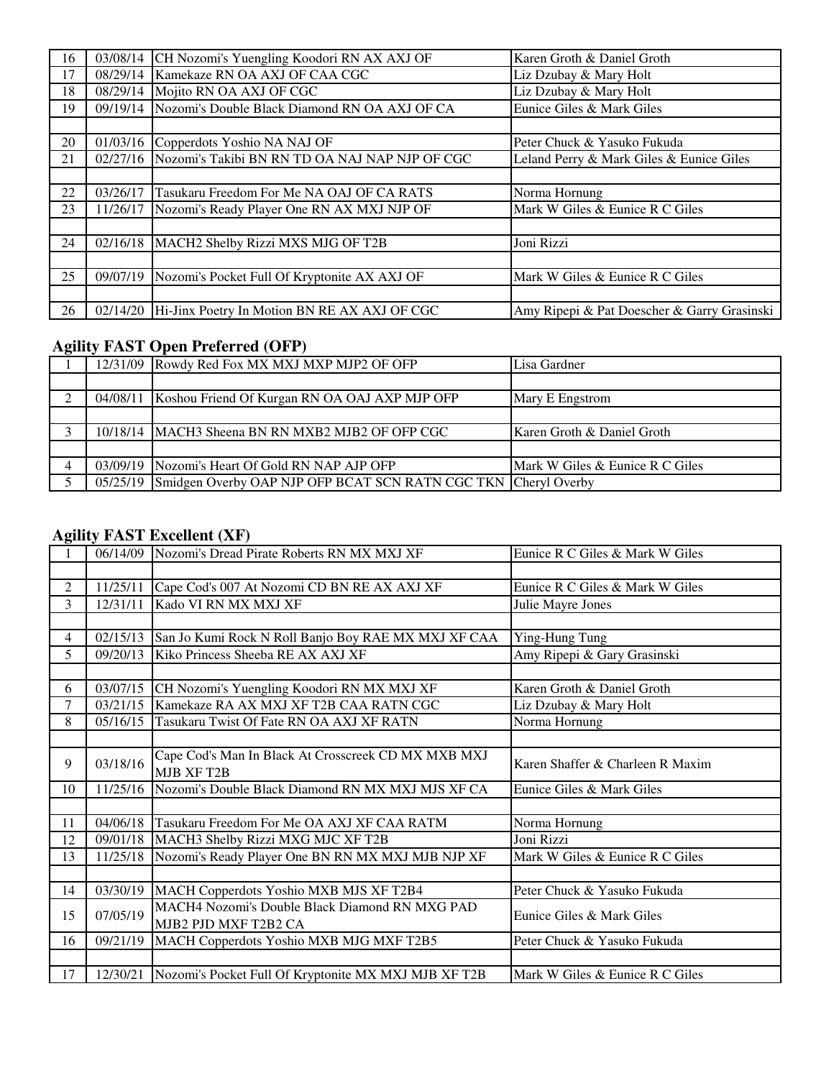| 16 | 03/08/14 | CH Nozomi's Yuengling Koodori RN AX AXJ OF            | Karen Groth & Daniel Groth                  |
|----|----------|-------------------------------------------------------|---------------------------------------------|
| 17 | 08/29/14 | Kamekaze RN OA AXJ OF CAA CGC                         | Liz Dzubay & Mary Holt                      |
| 18 | 08/29/14 | Mojito RN OA AXJ OF CGC                               | Liz Dzubay & Mary Holt                      |
| 19 | 09/19/14 | Nozomi's Double Black Diamond RN OA AXJ OF CA         | Eunice Giles & Mark Giles                   |
|    |          |                                                       |                                             |
| 20 | 01/03/16 | Copperdots Yoshio NA NAJ OF                           | Peter Chuck & Yasuko Fukuda                 |
| 21 | 02/27/16 | Nozomi's Takibi BN RN TD OA NAJ NAP NJP OF CGC        | Leland Perry & Mark Giles & Eunice Giles    |
|    |          |                                                       |                                             |
| 22 | 03/26/17 | Tasukaru Freedom For Me NA OAJ OF CA RATS             | Norma Hornung                               |
| 23 | 11/26/17 | Nozomi's Ready Player One RN AX MXJ NJP OF            | Mark W Giles & Eunice R C Giles             |
|    |          |                                                       |                                             |
| 24 | 02/16/18 | MACH2 Shelby Rizzi MXS MJG OF T2B                     | Joni Rizzi                                  |
|    |          |                                                       |                                             |
| 25 | 09/07/19 | Nozomi's Pocket Full Of Kryptonite AX AXJ OF          | Mark W Giles & Eunice R C Giles             |
|    |          |                                                       |                                             |
| 26 |          | 02/14/20 Hi-Jinx Poetry In Motion BN RE AX AXJ OF CGC | Amy Ripepi & Pat Doescher & Garry Grasinski |

# **Agility FAST Open Preferred (OFP)**

|  | 12/31/09 Rowdy Red Fox MX MXJ MXP MJP2 OF OFP                           | Lisa Gardner                    |
|--|-------------------------------------------------------------------------|---------------------------------|
|  |                                                                         |                                 |
|  | 04/08/11 Koshou Friend Of Kurgan RN OA OAJ AXP MJP OFP                  | Mary E Engstrom                 |
|  |                                                                         |                                 |
|  | 10/18/14 MACH3 Sheena BN RN MXB2 MJB2 OF OFP CGC                        | Karen Groth & Daniel Groth      |
|  |                                                                         |                                 |
|  | 03/09/19 Nozomi's Heart Of Gold RN NAP AJP OFP                          | Mark W Giles & Eunice R C Giles |
|  | 05/25/19 Smidgen Overby OAP NJP OFP BCAT SCN RATN CGC TKN Cheryl Overby |                                 |

# **Agility FAST Excellent (XF)**

|                |          | 06/14/09 Nozomi's Dread Pirate Roberts RN MX MXJ XF                           | Eunice R C Giles & Mark W Giles  |
|----------------|----------|-------------------------------------------------------------------------------|----------------------------------|
|                |          |                                                                               |                                  |
| $\overline{c}$ | 11/25/11 | Cape Cod's 007 At Nozomi CD BN RE AX AXJ XF                                   | Eunice R C Giles & Mark W Giles  |
| 3              | 12/31/11 | Kado VI RN MX MXJ XF                                                          | Julie Mayre Jones                |
|                |          |                                                                               |                                  |
| $\overline{4}$ | 02/15/13 | San Jo Kumi Rock N Roll Banjo Boy RAE MX MXJ XF CAA                           | Ying-Hung Tung                   |
| 5              | 09/20/13 | Kiko Princess Sheeba RE AX AXJ XF                                             | Amy Ripepi & Gary Grasinski      |
|                |          |                                                                               |                                  |
| 6              | 03/07/15 | CH Nozomi's Yuengling Koodori RN MX MXJ XF                                    | Karen Groth & Daniel Groth       |
| $\overline{7}$ | 03/21/15 | Kamekaze RA AX MXJ XF T2B CAA RATN CGC                                        | Liz Dzubay & Mary Holt           |
| 8              | 05/16/15 | Tasukaru Twist Of Fate RN OA AXJ XF RATN                                      | Norma Hornung                    |
|                |          |                                                                               |                                  |
| 9              | 03/18/16 | Cape Cod's Man In Black At Crosscreek CD MX MXB MXJ<br>MJB XF T2B             | Karen Shaffer & Charleen R Maxim |
| 10             | 11/25/16 | Nozomi's Double Black Diamond RN MX MXJ MJS XF CA                             | Eunice Giles & Mark Giles        |
|                |          |                                                                               |                                  |
| 11             | 04/06/18 | Tasukaru Freedom For Me OA AXJ XF CAA RATM                                    | Norma Hornung                    |
| 12             | 09/01/18 | MACH3 Shelby Rizzi MXG MJC XF T2B                                             | Joni Rizzi                       |
| 13             | 11/25/18 | Nozomi's Ready Player One BN RN MX MXJ MJB NJP XF                             | Mark W Giles & Eunice R C Giles  |
|                |          |                                                                               |                                  |
| 14             | 03/30/19 | MACH Copperdots Yoshio MXB MJS XF T2B4                                        | Peter Chuck & Yasuko Fukuda      |
| 15             | 07/05/19 | <b>MACH4 Nozomi's Double Black Diamond RN MXG PAD</b><br>MJB2 PJD MXF T2B2 CA | Eunice Giles & Mark Giles        |
| 16             | 09/21/19 | MACH Copperdots Yoshio MXB MJG MXF T2B5                                       | Peter Chuck & Yasuko Fukuda      |
|                |          |                                                                               |                                  |
| 17             | 12/30/21 | Nozomi's Pocket Full Of Kryptonite MX MXJ MJB XF T2B                          | Mark W Giles & Eunice R C Giles  |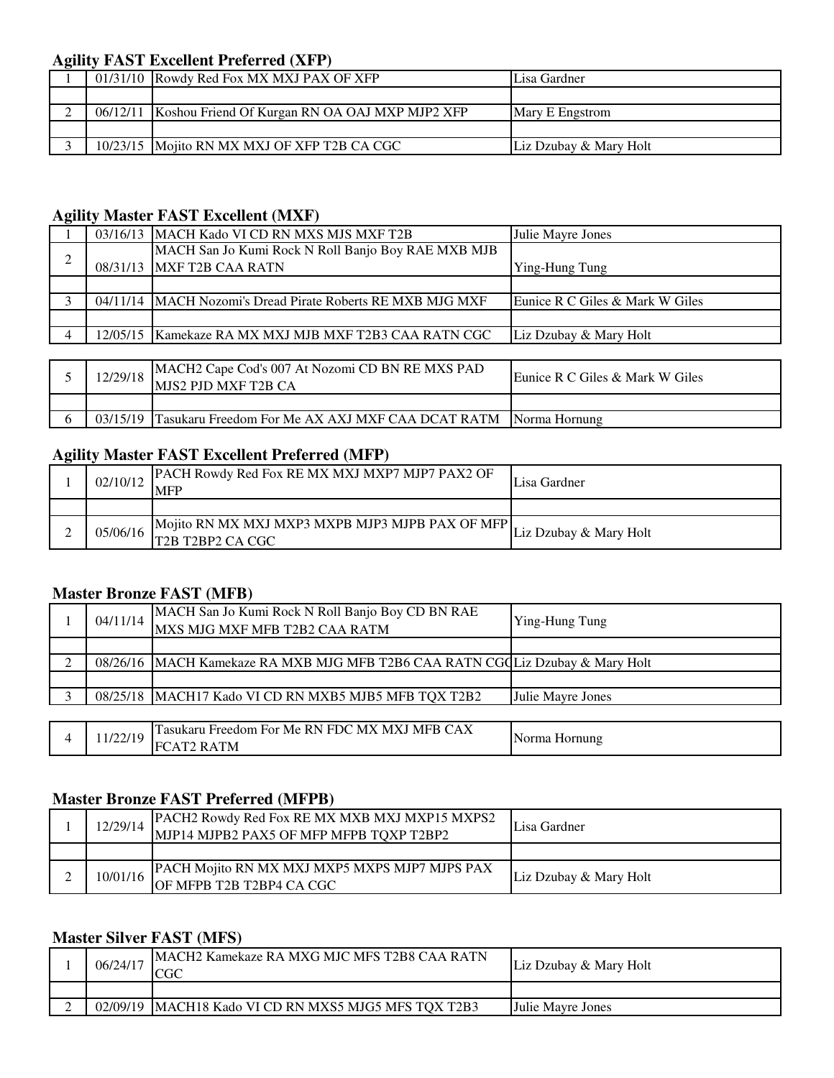### **Agility FAST Excellent Preferred (XFP)**

|  | 01/31/10 Rowdy Red Fox MX MXJ PAX OF XFP                | Lisa Gardner           |
|--|---------------------------------------------------------|------------------------|
|  |                                                         |                        |
|  | 06/12/11 Koshou Friend Of Kurgan RN OA OAJ MXP MJP2 XFP | Mary E Engstrom        |
|  |                                                         |                        |
|  | 10/23/15 Moito RN MX MXJ OF XFP T2B CA CGC              | Liz Dzubay & Mary Holt |

#### **Agility Master FAST Excellent (MXF)**

|   | 03/16/13 MACH Kado VI CD RN MXS MJS MXF T2B                | Julie Mayre Jones               |
|---|------------------------------------------------------------|---------------------------------|
| ◠ | MACH San Jo Kumi Rock N Roll Banjo Boy RAE MXB MJB         |                                 |
| ∠ | 08/31/13 MXF T2B CAA RATN                                  | Ying-Hung Tung                  |
|   |                                                            |                                 |
|   | 04/11/14 MACH Nozomi's Dread Pirate Roberts RE MXB MJG MXF | Eunice R C Giles & Mark W Giles |
|   |                                                            |                                 |
|   | 12/05/15   Kamekaze RA MX MXJ MJB MXF T2B3 CAA RATN CGC    | Liz Dzubay & Mary Holt          |
|   |                                                            |                                 |
|   |                                                            |                                 |

| 12/29/18 | MACH2 Cape Cod's 007 At Nozomi CD BN RE MXS PAD<br>MJS2 PJD MXF T2B CA  | Eunice R C Giles & Mark W Giles |
|----------|-------------------------------------------------------------------------|---------------------------------|
|          |                                                                         |                                 |
|          | 03/15/19 Tasukaru Freedom For Me AX AXJ MXF CAA DCAT RATM Norma Hornung |                                 |

#### **Agility Master FAST Excellent Preferred (MFP)**

| 02/10/12 | PACH Rowdy Red Fox RE MX MXJ MXP7 MJP7 PAX2 OF<br><b>MFF</b>                                              | Lisa Gardner           |
|----------|-----------------------------------------------------------------------------------------------------------|------------------------|
|          |                                                                                                           |                        |
| 05/06/16 | Mojito RN MX MXJ MXP3 MXPB MJP3 MJPB PAX OF MFP<br>T <sub>2</sub> B T <sub>2</sub> BP <sub>2</sub> CA CGC | Liz Dzubay & Mary Holt |

#### **Master Bronze FAST (MFB)**

| 04/11/14 | MACH San Jo Kumi Rock N Roll Banjo Boy CD BN RAE<br>MXS MJG MXF MFB T2B2 CAA RATM | Ying-Hung Tung    |
|----------|-----------------------------------------------------------------------------------|-------------------|
|          |                                                                                   |                   |
|          | 08/26/16   MACH Kamekaze RA MXB MJG MFB T2B6 CAA RATN CGQLiz Dzubay & Mary Holt   |                   |
|          |                                                                                   |                   |
|          | 08/25/18   MACH17 Kado VI CD RN MXB5 MJB5 MFB TQX T2B2                            | Julie Mayre Jones |
|          |                                                                                   |                   |
| 11/22/19 | Tasukaru Freedom For Me RN FDC MX MXJ MFB CAX                                     |                   |
|          | <b>FCAT2 RATM</b>                                                                 | Norma Hornung     |

#### **Master Bronze FAST Preferred (MFPB)**

| 12/29/14 | PACH2 Rowdy Red Fox RE MX MXB MXJ MXP15 MXPS2<br>MJP14 MJPB2 PAX5 OF MFP MFPB TQXP T2BP2 | Lisa Gardner           |
|----------|------------------------------------------------------------------------------------------|------------------------|
|          |                                                                                          |                        |
| 10/01/16 | PACH Mojito RN MX MXJ MXP5 MXPS MJP7 MJPS PAX                                            |                        |
|          | OF MFPB T2B T2BP4 CA CGC                                                                 | Liz Dzubay & Mary Holt |

## **Master Silver FAST (MFS)**

| 06/24/17 | MACH2 Kamekaze RA MXG MJC MFS T2B8 CAA RATN            | Liz Dzubay & Mary Holt   |
|----------|--------------------------------------------------------|--------------------------|
|          |                                                        |                          |
|          | 02/09/19   MACH18 Kado VI CD RN MXS5 MJG5 MFS TQX T2B3 | <b>Julie Mayre Jones</b> |